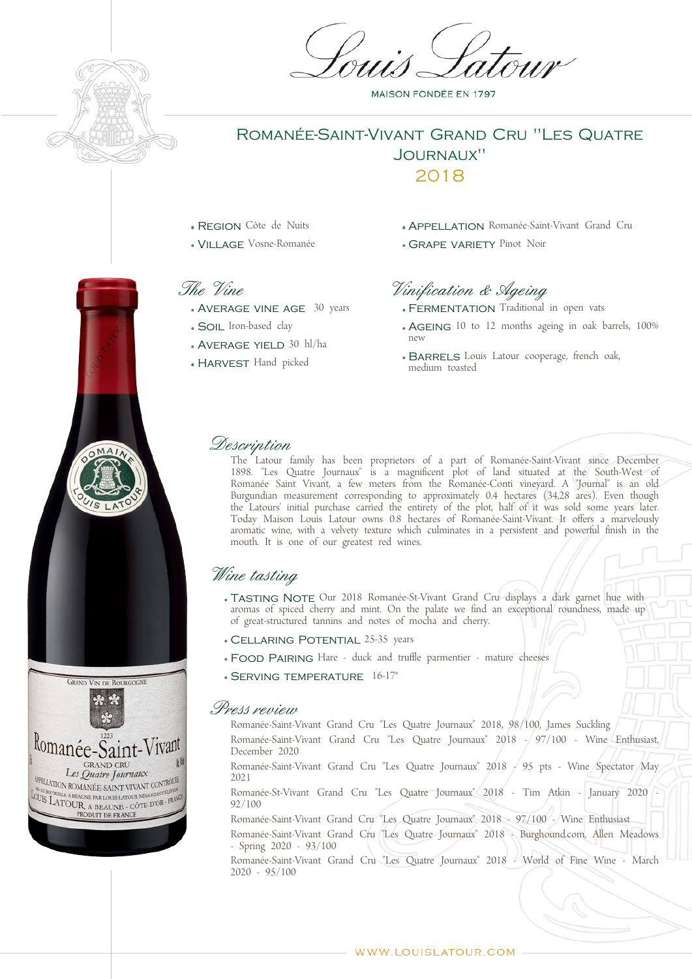

## Romanée-Saint-Vivant Grand Cru "Les Quatre Journaux" 2018

- Region Côte de Nuits
- Village Vosne-Romanée

## The Vine

- AVERAGE VINE AGE 30 years
- Soil Iron-based clay
- Average yield 30 hl/ha
- HARVEST Hand picked
- APPELLATION Romanée-Saint-Vivant Grand Cru
- **GRAPE VARIETY Pinot Noir**

# Vinification & Ageing

- FERMENTATION Traditional in open vats
- AGFING 10 to 12 months ageing in oak barrels, 100% new
- BARRELS Louis Latour cooperage, french oak, medium toasted

#### Description

The Latour family has been proprietors of a part of Romanée-Saint-Vivant since December 1898. "Les Quatre Journaux" is a magnificent plot of land situated at the South-West of Romanée Saint Vivant, a few meters from the Romanée-Conti vineyard. A "Journal" is an old Burgundian measurement corresponding to approximately 0.4 hectares (34,28 ares). Even though the Latours' initial purchase carried the entirety of the plot, half of it was sold some years later. Today Maison Louis Latour owns 0.8 hectares of Romanée-Saint-Vivant. It offers a marvelously aromatic wine, with a velvety texture which culminates in a persistent and powerful finish in the mouth. It is one of our greatest red wines.

# Wine tasting

- TASTING NOTE Our 2018 Romanée-St-Vivant Grand Cru displays a dark garnet hue with aromas of spiced cherry and mint. On the palate we find an exceptional roundness, made up of great-structured tannins and notes of mocha and cherry.
- Cellaring Potential 25-35 years
- Food Pairing Hare duck and truffle parmentier mature cheeses
- Serving temperature 16-17°

#### Press review

Romanée-Saint-Vivant Grand Cru "Les Quatre Journaux" 2018, 98/100, James Suckling Romanée-Saint-Vivant Grand Cru "Les Quatre Journaux" 2018 - 97/100 - Wine Enthusiast, December 2020

Romanée-Saint-Vivant Grand Cru "Les Quatre Journaux" 2018 - 95 pts - Wine Spectator May 2021

Romanée-St-Vivant Grand Cru "Les Quatre Journaux" 2018 - Tim Atkin - January 2020 - 92/100

Romanée-Saint-Vivant Grand Cru "Les Quatre Journaux" 2018 - 97/100 - Wine Enthusiast

Romanée-Saint-Vivant Grand Cru "Les Quatre Journaux" 2018 - Burghound.com, Allen Meadows - Spring 2020 - 93/100

Romanée-Saint-Vivant Grand Cru "Les Quatre Journaux" 2018 - World of Fine Wine - March 2020 - 95/100



 $MA$ 

**MAISON FONDÉE EN 1797**